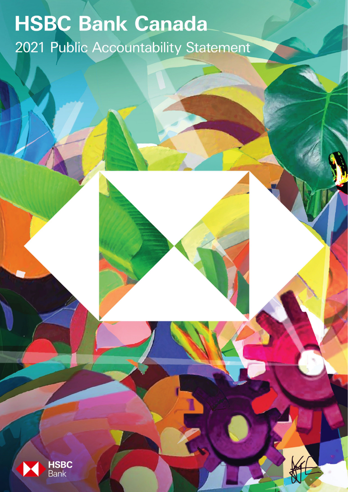# **HSBC Bank Canada** 2021 Public Accountability Statement

1

PUBLIC

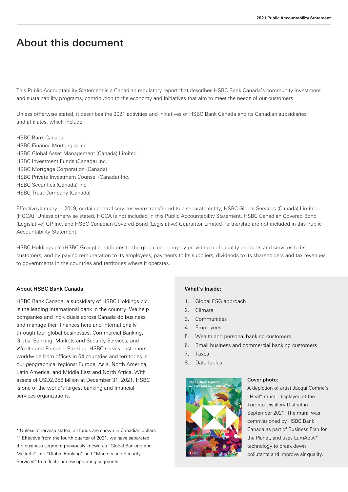## About this document

This Public Accountability Statement is a Canadian regulatory report that describes HSBC Bank Canada's community investment and sustainability programs, contribution to the economy and initiatives that aim to meet the needs of our customers.

Unless otherwise stated, it describes the 2021 activities and initiatives of HSBC Bank Canada and its Canadian subsidiaries and affiliates, which include:

HSBC Bank Canada HSBC Finance Mortgages Inc. HSBC Global Asset Management (Canada) Limited HSBC Investment Funds (Canada) Inc. HSBC Mortgage Corporation (Canada) HSBC Private Investment Counsel (Canada) Inc. HSBC Securities (Canada) Inc. HSBC Trust Company (Canada)

Effective January 1, 2019, certain central services were transferred to a separate entity, HSBC Global Services (Canada) Limited (HGCA). Unless otherwise stated, HGCA is not included in this Public Accountability Statement. HSBC Canadian Covered Bond (Legislative) GP Inc. and HSBC Canadian Covered Bond (Legislative) Guarantor Limited Partnership are not included in this Public Accountability Statement.

HSBC Holdings plc (HSBC Group) contributes to the global economy by providing high-quality products and services to its customers, and by paying remuneration to its employees, payments to its suppliers, dividends to its shareholders and tax revenues to governments in the countries and territories where it operates.

#### About HSBC Bank Canada

HSBC Bank Canada, a subsidiary of HSBC Holdings plc, is the leading international bank in the country. We help companies and individuals across Canada do business and manage their finances here and internationally through four global businesses: Commercial Banking, Global Banking, Markets and Security Services, and Wealth and Personal Banking. HSBC serves customers worldwide from offices in 64 countries and territories in our geographical regions: Europe, Asia, North America, Latin America, and Middle East and North Africa. With assets of USD2,958 billion at December 31, 2021, HSBC is one of the world's largest banking and financial services organizations.

\* Unless otherwise stated, all funds are shown in Canadian dollars. \*\* Effective from the fourth quarter of 2021, we have separated the business segment previously known as "Global Banking and Markets" into "Global Banking" and "Markets and Security Services" to reflect our new operating segments.

#### What's Inside:

- 1. Global ESG approach
- 2. Climate
- 3. Communities
- 4. Employees
- 5. Wealth and personal banking customers
- 6. Small business and commercial banking customers
- 7. Taxes
- 8. Data tables



#### Cover photo:

A depiction of artist Jacqui Comrie's "Heal" mural, displayed at the Toronto Distillery District in September 2021. The mural was commissioned by HSBC Bank Canada as part of Business Plan for the Planet, and uses LumActiv® technology to break down pollutants and improve air quality.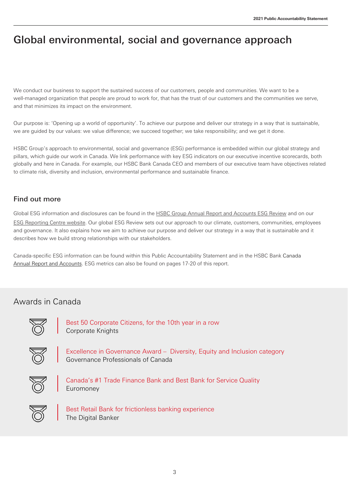## Global environmental, social and governance approach

We conduct our business to support the sustained success of our customers, people and communities. We want to be a well-managed organization that people are proud to work for, that has the trust of our customers and the communities we serve, and that minimizes its impact on the environment.

Our purpose is: 'Opening up a world of opportunity'. To achieve our purpose and deliver our strategy in a way that is sustainable, we are guided by our values: we value difference; we succeed together; we take responsibility; and we get it done.

HSBC Group's approach to environmental, social and governance (ESG) performance is embedded within our global strategy and pillars, which guide our work in Canada. We link performance with key ESG indicators on our executive incentive scorecards, both globally and here in Canada. For example, our HSBC Bank Canada CEO and members of our executive team have objectives related to climate risk, diversity and inclusion, environmental performance and sustainable finance.

## Find out more

Global ESG information and disclosures can be found in the **HSBC Group Annual Report and Accounts ESG Review** and on our [ESG Reporting Centre](https://www.hsbc.com/who-we-are/esg-and-responsible-business/esg-reporting-centre?tab=Latest%20reports) website. Our global ESG Review sets out our approach to our climate, customers, communities, employees and governance. It also explains how we aim to achieve our purpose and deliver our strategy in a way that is sustainable and it describes how we build strong relationships with our stakeholders.

Canada-specific ESG information can be found within this Public Accountability Statement and in the HSBC Bank Canada [Annual Report and Accounts.](https://www.hsbc.com/-/files/hsbc/investors/hsbc-results/2021/annual/pdfs/hsbc-bank-canada/220225-hsbc-bank-canada-ara-2021-en.pdf) ESG metrics can also be found on pages 17-20 of this report.

## Awards in Canada



Best 50 Corporate Citizens, for the 10th year in a row Corporate Knights



Excellence in Governance Award – Diversity, Equity and Inclusion category Governance Professionals of Canada



Canada's #1 Trade Finance Bank and Best Bank for Service Quality Euromoney



Best Retail Bank for frictionless banking experience The Digital Banker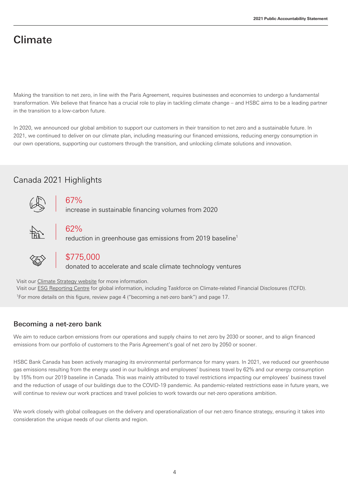## Climate

Making the transition to net zero, in line with the Paris Agreement, requires businesses and economies to undergo a fundamental transformation. We believe that finance has a crucial role to play in tackling climate change – and HSBC aims to be a leading partner in the transition to a low-carbon future.

In 2020, we announced our global ambition to support our customers in their transition to net zero and a sustainable future. In 2021, we continued to deliver on our climate plan, including measuring our financed emissions, reducing energy consumption in our own operations, supporting our customers through the transition, and unlocking climate solutions and innovation.

## Canada 2021 Highlights



67%

increase in sustainable financing volumes from 2020



## 62%

reduction in greenhouse gas emissions from 2019 baseline<sup>1</sup>



## \$775,000

donated to accelerate and scale climate technology ventures

Visit our [Climate Strategy website](https://www.hsbc.com/who-we-are/our-climate-strategy) for more information.

Visit our [ESG Reporting Centre](https://www.hsbc.com/who-we-are/esg-and-responsible-business/esg-reporting-centre?tab=Latest%20reports) for global information, including Taskforce on Climate-related Financial Disclosures (TCFD). <sup>1</sup>For more details on this figure, review page 4 ("becoming a net-zero bank") and page 17.

## Becoming a net-zero bank

We aim to reduce carbon emissions from our operations and supply chains to net zero by 2030 or sooner, and to align financed emissions from our portfolio of customers to the Paris Agreement's goal of net zero by 2050 or sooner.

HSBC Bank Canada has been actively managing its environmental performance for many years. In 2021, we reduced our greenhouse gas emissions resulting from the energy used in our buildings and employees' business travel by 62% and our energy consumption by 15% from our 2019 baseline in Canada. This was mainly attributed to travel restrictions impacting our employees' business travel and the reduction of usage of our buildings due to the COVID-19 pandemic. As pandemic-related restrictions ease in future years, we will continue to review our work practices and travel policies to work towards our net-zero operations ambition.

We work closely with global colleagues on the delivery and operationalization of our net-zero finance strategy, ensuring it takes into consideration the unique needs of our clients and region.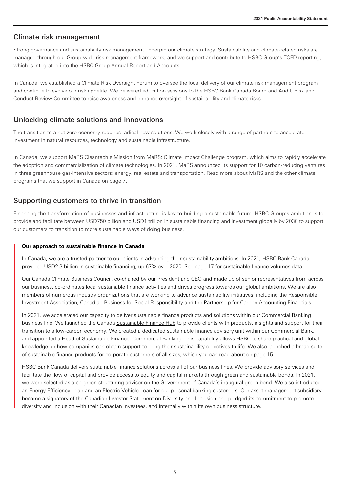#### Climate risk management

Strong governance and sustainability risk management underpin our climate strategy. Sustainability and climate-related risks are managed through our Group-wide risk management framework, and we support and contribute to HSBC Group's TCFD reporting, which is integrated into the HSBC Group Annual Report and Accounts.

In Canada, we established a Climate Risk Oversight Forum to oversee the local delivery of our climate risk management program and continue to evolve our risk appetite. We delivered education sessions to the HSBC Bank Canada Board and Audit, Risk and Conduct Review Committee to raise awareness and enhance oversight of sustainability and climate risks.

#### Unlocking climate solutions and innovations

The transition to a net-zero economy requires radical new solutions. We work closely with a range of partners to accelerate investment in natural resources, technology and sustainable infrastructure.

In Canada, we support MaRS Cleantech's Mission from MaRS: Climate Impact Challenge program, which aims to rapidly accelerate the adoption and commercialization of climate technologies. In 2021, MaRS announced its support for 10 carbon-reducing ventures in three greenhouse gas-intensive sectors: energy, real estate and transportation. Read more about MaRS and the other climate programs that we support in Canada on page 7.

#### Supporting customers to thrive in transition

Financing the transformation of businesses and infrastructure is key to building a sustainable future. HSBC Group's ambition is to provide and facilitate between USD750 billion and USD1 trillion in sustainable financing and investment globally by 2030 to support our customers to transition to more sustainable ways of doing business.

#### **Our approach to sustainable finance in Canada**

In Canada, we are a trusted partner to our clients in advancing their sustainability ambitions. In 2021, HSBC Bank Canada provided USD2.3 billion in sustainable financing, up 67% over 2020. See page 17 for sustainable finance volumes data.

Our Canada Climate Business Council, co-chaired by our President and CEO and made up of senior representatives from across our business, co-ordinates local sustainable finance activities and drives progress towards our global ambitions. We are also members of numerous industry organizations that are working to advance sustainability initiatives, including the Responsible Investment Association, Canadian Business for Social Responsibility and the Partnership for Carbon Accounting Financials.

In 2021, we accelerated our capacity to deliver sustainable finance products and solutions within our Commercial Banking business line. We launched the Canad[a Sustainable Finance Hub](https://www.business.hsbc.ca/en-ca/campaigns/sustainable-finance) to provide clients with products, insights and support for their transition to a low-carbon economy. We created a dedicated sustainable finance advisory unit within our Commercial Bank, and appointed a Head of Sustainable Finance, Commercial Banking. This capability allows HSBC to share practical and global knowledge on how companies can obtain support to bring their sustainability objectives to life. We also launched a broad suite of sustainable finance products for corporate customers of all sizes, which you can read about on page 15.

HSBC Bank Canada delivers sustainable finance solutions across all of our business lines. We provide advisory services and facilitate the flow of capital and provide access to equity and capital markets through green and sustainable bonds. In 2021, we were selected as a co-green structuring advisor on the Government of Canada's inaugural green bond. We also introduced an Energy Efficiency Loan and an Electric Vehicle Loan for our personal banking customers. Our asset management subsidiary became a signatory of the Canadian Investor Statement on Diversity and Inclusion and pledged its commitment to promote diversity and inclusion with their Canadian investees, and internally within its own business structure.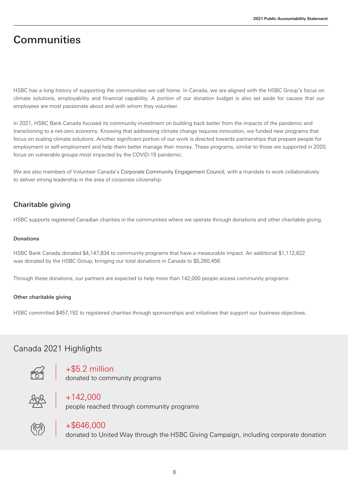## **Communities**

HSBC has a long history of supporting the communities we call home. In Canada, we are aligned with the HSBC Group's focus on climate solutions, employability and financial capability. A portion of our donation budget is also set aside for causes that our employees are most passionate about and with whom they volunteer.

In 2021, HSBC Bank Canada focused its community investment on building back better from the impacts of the pandemic and transitioning to a net-zero economy. Knowing that addressing climate change requires innovation, we funded new programs that focus on scaling climate solutions. Another significant portion of our work is directed towards partnerships that prepare people for employment or self-employment and help them better manage their money. These programs, similar to those we supported in 2020, focus on vulnerable groups most impacted by the COVID-19 pandemic.

We are also members of Volunteer Canada's [Corporate Community Engagement Council,](https://volunteer.ca/index.php?MenuItemID=357) with a mandate to work collaboratively to deliver strong leadership in the area of corporate citizenship.

## Charitable giving

HSBC supports registered Canadian charities in the communities where we operate through donations and other charitable giving.

#### Donations

HSBC Bank Canada donated \$4,147,834 to community programs that have a measurable impact. An additional \$1,112,622 was donated by the HSBC Group, bringing our total donations in Canada to \$5,260,456.

Through these donations, our partners are expected to help more than 142,000 people access community programs.

#### Other charitable giving

HSBC committed \$457,192 to registered charities through sponsorships and initiatives that support our business objectives.

## Canada 2021 Highlights



+\$5.2 million

donated to community programs



 $+142,000$ 

people reached through community programs



## $+$ \$646,000

donated to United Way through the HSBC Giving Campaign, including corporate donation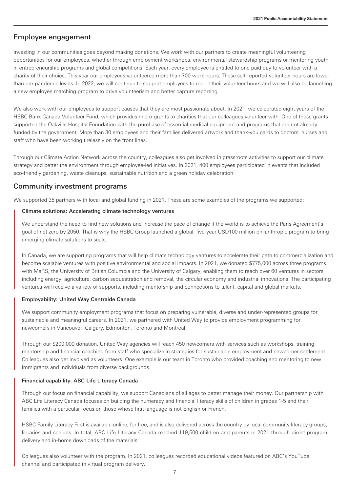#### Employee engagement

Investing in our communities goes beyond making donations. We work with our partners to create meaningful volunteering opportunities for our employees, whether through employment workshops, environmental stewardship programs or mentoring youth in entrepreneurship programs and global competitions. Each year, every employee is entitled to one paid day to volunteer with a charity of their choice. This year our employees volunteered more than 700 work hours. These self-reported volunteer hours are lower than pre-pandemic levels. In 2022, we will continue to support employees to report their volunteer hours and we will also be launching a new employee matching program to drive volunteerism and better capture reporting.

We also work with our employees to support causes that they are most passionate about. In 2021, we celebrated eight years of the HSBC Bank Canada Volunteer Fund, which provides micro-grants to charities that our colleagues volunteer with. One of these grants supported the Oakville Hospital Foundation with the purchase of essential medical equipment and programs that are not already funded by the government. More than 30 employees and their families delivered artwork and thank-you cards to doctors, nurses and staff who have been working tirelessly on the front lines.

Through our Climate Action Network across the country, colleagues also get involved in grassroots activities to support our climate strategy and better the environment through employee-led initiatives. In 2021, 400 employees participated in events that included eco-friendly gardening, waste cleanups, sustainable nutrition and a green holiday celebration.

#### Community investment programs

We supported 35 partners with local and global funding in 2021. These are some examples of the programs we supported:

#### Climate solutions: Accelerating climate technology ventures

We understand the need to find new solutions and increase the pace of change if the world is to achieve the Paris Agreement's goal of net zero by 2050. That is why the HSBC Group launched a global, five-year USD100 million philanthropic program to bring emerging climate solutions to scale.

In Canada, we are supporting programs that will help climate technology ventures to accelerate their path to commercialization and become scalable ventures with positive environmental and social impacts. In 2021, we donated \$775,000 across three programs with MaRS, the University of British Columbia and the University of Calgary, enabling them to reach over 60 ventures in sectors including energy, agriculture, carbon sequestration and removal, the circular economy and industrial innovations. The participating ventures will receive a variety of supports, including mentorship and connections to talent, capital and global markets.

#### Employability: United Way Centraide Canada

We support community employment programs that focus on preparing vulnerable, diverse and under-represented groups for sustainable and meaningful careers. In 2021, we partnered with United Way to provide employment programming for newcomers in Vancouver, Calgary, Edmonton, Toronto and Montreal.

Through our \$200,000 donation, United Way agencies will reach 450 newcomers with services such as workshops, training, mentorship and financial coaching from staff who specialize in strategies for sustainable employment and newcomer settlement. Colleagues also get involved as volunteers. One example is our team in Toronto who provided coaching and mentoring to new immigrants and individuals from diverse backgrounds.

#### Financial capability: ABC Life Literacy Canada

Through our focus on financial capability, we support Canadians of all ages to better manage their money. Our partnership with ABC Life Literacy Canada focuses on building the numeracy and financial literacy skills of children in grades 1-5 and their families with a particular focus on those whose first language is not English or French.

HSBC Family Literacy First is available online, for free, and is also delivered across the country by local community literacy groups, libraries and schools. In total, ABC Life Literacy Canada reached 119,500 children and parents in 2021 through direct program delivery and in-home downloads of the materials.

Colleagues also volunteer with the program. In 2021, colleagues recorded educational videos featured on ABC's YouTube channel and participated in virtual program delivery.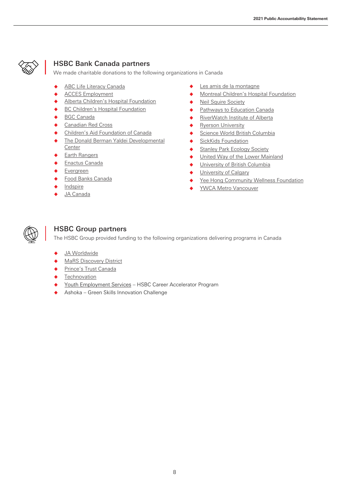

## HSBC Bank Canada partners

We made charitable donations to the following organizations in Canada

- ◆ **[ABC Life Literacy Canada](http://abclifeliteracy.ca/)**
- ◆ **ACCES** Employment
- ◆ [Alberta Children's Hospital Foundation](http://www.childrenshospital.ab.ca/site/PageServer?pagename=home_template)
- ◆ [BC Children's Hospital Foundation](https://www.bcchf.ca/)
- **[BGC Canada](https://www.bgccan.com/en/)**
- **[Canadian Red Cross](http://www.redcross.ca/)**
- [Children's Aid Foundation of Canada](http://www.cafdn.org/)
- ◆ The Donald Berman Yaldei Developmental **[Cente](http://www.yaldei.org/)r**
- ◆ [Earth Rangers](https://www.earthrangers.com/)
- ◆ [Enactus Canada](https://enactus.ca/)
- [Evergreen](https://www.evergreen.ca/)
- **[Food Banks Canada](https://www.foodbankscanada.ca/)**
- **[Indspire](http://indspire.ca/)**
- [JA Canada](http://jacanada.org/)
- ◆ [Les amis de la montagne](https://www.lemontroyal.qc.ca/en)
- ◆ [Montreal Children's Hospital Foundation](https://fondationduchildren.com/en/)
- ◆ [Neil Squire Society](https://www.neilsquire.ca/individual-programs-services/workingtogether/?gclid=EAIaIQobChMIkerRw9HZ9AIVfcmUCR1uIQTkEAAYASAAEgIHx_D_BwE)
- ◆ [Pathways to Education Canada](https://www.pathwaystoeducation.ca/)
- ◆ [RiverWatch Institute of Alberta](http://www.riverwatch.ab.ca/)
- ◆ [Ryerson University](https://www.ryerson.ca/)
- ◆ [Science World British Columbia](https://www.scienceworld.ca/)
- ◆ [SickKids Foundation](https://www.sickkidsfoundation.com/%23/)
- ◆ [Stanley Park Ecology Society](https://stanleyparkecology.ca/)
- ◆ [United Way of the Lower Mainland](http://www.unitedway.ca/)
- ◆ [University of British Columbia](https://www.ubc.ca/)
- ◆ [University of Calgary](https://www.ucalgary.ca/)
- [Yee Hong Community Wellness Foundation](https://www.yeehong.com/foundation/)
- **YWCA Metro Vancouver**



### HSBC Group partners

The HSBC Group provided funding to the following organizations delivering programs in Canada

- ◆ [JA Worldwide](https://www.jaworldwide.org/)
- **MaRS [Discovery District](https://www.marsdd.com/)**
- [Prince's Trust Canada](https://www.princestrust.ca/)
- **[Technovation](https://www.technovation.org/)**
- [Youth Employment Services](https://www.yes.on.ca/) HSBC Career Accelerator Program
- [Ashoka Green Skills Innovation Challenge](https://www.ashoka.org/en-us/story/meet-2021-green-skills-innovation-challenge-winners)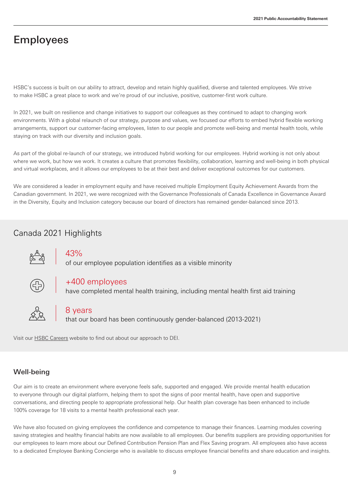## Employees

HSBC's success is built on our ability to attract, develop and retain highly qualified, diverse and talented employees. We strive to make HSBC a great place to work and we're proud of our inclusive, positive, customer-first work culture.

In 2021, we built on resilience and change initiatives to support our colleagues as they continued to adapt to changing work environments. With a global relaunch of our strategy, purpose and values, we focused our efforts to embed hybrid flexible working arrangements, support our customer-facing employees, listen to our people and promote well-being and mental health tools, while staying on track with our diversity and inclusion goals.

As part of the global re-launch of our strategy, we introduced hybrid working for our employees. Hybrid working is not only about where we work, but how we work. It creates a culture that promotes flexibility, collaboration, learning and well-being in both physical and virtual workplaces, and it allows our employees to be at their best and deliver exceptional outcomes for our customers.

We are considered a leader in employment equity and have received multiple Employment Equity Achievement Awards from the Canadian government. In 2021, we were recognized with the Governance Professionals of Canada Excellence in Governance Award in the Diversity, Equity and Inclusion category because our board of directors has remained gender-balanced since 2013.

## Canada 2021 Highlights



## 43%

of our employee population identifies as a visible minority



## +400 employees

have completed mental health training, including mental health first aid training



### 8 years

that our board has been continuously gender-balanced (2013-2021)

Visit our HSBC Careers website to find out about our approach to DEI.

## Well-being

Our aim is to create an environment where everyone feels safe, supported and engaged. We provide mental health education to everyone through our digital platform, helping them to spot the signs of poor mental health, have open and supportive conversations, and directing people to appropriate professional help. Our health plan coverage has been enhanced to include 100% coverage for 18 visits to a mental health professional each year.

We have also focused on giving employees the confidence and competence to manage their finances. Learning modules covering saving strategies and healthy financial habits are now available to all employees. Our benefits suppliers are providing opportunities for our employees to learn more about our Defined Contribution Pension Plan and Flex Saving program. All employees also have access to a dedicated Employee Banking Concierge who is available to discuss employee financial benefits and share education and insights.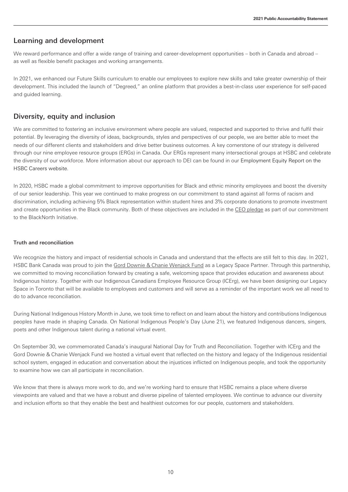#### Learning and development

We reward performance and offer a wide range of training and career-development opportunities – both in Canada and abroad – as well as flexible benefit packages and working arrangements.

In 2021, we enhanced our Future Skills curriculum to enable our employees to explore new skills and take greater ownership of their development. This included the launch of "Degreed," an online platform that provides a best-in-class user experience for self-paced and guided learning.

#### Diversity, equity and inclusion

We are committed to fostering an inclusive environment where people are valued, respected and supported to thrive and fulfil their potential. By leveraging the diversity of ideas, backgrounds, styles and perspectives of our people, we are better able to meet the needs of our different clients and stakeholders and drive better business outcomes. A key cornerstone of our strategy is delivered through our nine employee resource groups (ERGs) in Canada. Our ERGs represent many intersectional groups at HSBC and celebrate the diversity of our workforce. More information about our approach to DEI can be found in our Employment Equity Report on the HSBC Careers [website.](https://www.about.hsbc.ca/careers)

In 2020, HSBC made a global commitment to improve opportunities for Black and ethnic minority employees and boost the diversity of our senior leadership. This year we continued to make progress on our commitment to stand against all forms of racism and discrimination, including achieving 5% Black representation within student hires and 3% corporate donations to promote investment and create opportunities in the Black community. Both of these objectives are included in the [CEO pledge](https://www.ceoaction.com/pledge/ceo-pledge/) as part of our commitment to the BlackNorth Initiative.

#### Truth and reconciliation

We recognize the history and impact of residential schools in Canada and understand that the effects are still felt to this day. In 2021, HSBC Bank Canada was proud to join th[e Gord Downie & Chanie Wenjack Fund](https://downiewenjack.ca/) as a Legacy Space Partner. Through this partnership, we committed to moving reconciliation forward by creating a safe, welcoming space that provides education and awareness about Indigenous history. Together with our Indigenous Canadians Employee Resource Group (ICErg), we have been designing our Legacy Space in Toronto that will be available to employees and customers and will serve as a reminder of the important work we all need to do to advance reconciliation.

During National Indigenous History Month in June, we took time to reflect on and learn about the history and contributions Indigenous peoples have made in shaping Canada. On National Indigenous People's Day (June 21), we featured Indigenous dancers, singers, poets and other Indigenous talent during a national virtual event.

On September 30, we commemorated Canada's inaugural National Day for Truth and Reconciliation. Together with ICErg and the Gord Downie & Chanie Wenjack Fund we hosted a virtual event that reflected on the history and legacy of the Indigenous residential school system, engaged in education and conversation about the injustices inflicted on Indigenous people, and took the opportunity to examine how we can all participate in reconciliation.

We know that there is always more work to do, and we're working hard to ensure that HSBC remains a place where diverse viewpoints are valued and that we have a robust and diverse pipeline of talented employees. We continue to advance our diversity and inclusion efforts so that they enable the best and healthiest outcomes for our people, customers and stakeholders.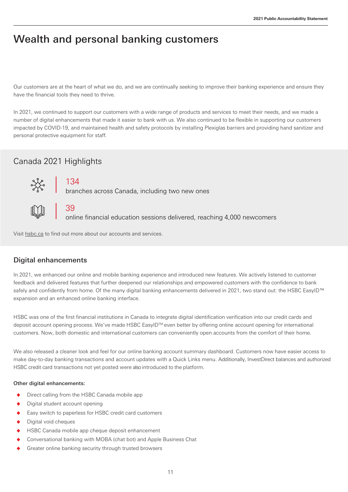## Wealth and personal banking customers

Our customers are at the heart of what we do, and we are continually seeking to improve their banking experience and ensure they have the financial tools they need to thrive.

In 2021, we continued to support our customers with a wide range of products and services to meet their needs, and we made a number of digital enhancements that made it easier to bank with us. We also continued to be flexible in supporting our customers impacted by COVID-19, and maintained health and safety protocols by installing Plexiglas barriers and providing hand sanitizer and personal protective equipment for staff.

## Canada 2021 Highlights



39

134

branches across Canada, including two new ones

Visit [hsbc.ca](https://www.hsbc.ca/) to find out more about our accounts and services.

### Digital enhancements

In 2021, we enhanced our online and mobile banking experience and introduced new features. We actively listened to customer feedback and delivered features that further deepened our relationships and empowered customers with the confidence to bank safely and confidently from home. Of the many digital banking enhancements delivered in 2021, two stand out: the HSBC EasyID™ expansion and an enhanced online banking interface.

online financial education sessions delivered, reaching 4,000 newcomers

HSBC was one of the first financial institutions in Canada to integrate digital identification verification into our credit cards and deposit account opening process. We've made HSBC EasyID™ even better by offering online account opening for international customers. Now, both domestic and international customers can conveniently open accounts from the comfort of their home.

We also released a cleaner look and feel for our online banking account summary dashboard. Customers now have easier access to make day-to-day banking transactions and account updates with a Quick Links menu. Additionally, InvestDirect balances and authorized HSBC credit card transactions not yet posted were also introduced to the platform.

#### Other digital enhancements:

- Direct calling from the HSBC Canada mobile app
- Digital student account opening
- Easy switch to paperless for HSBC credit card customers
- Digital void cheques
- HSBC Canada mobile app cheque deposit enhancement
- Conversational banking with MOBA (chat bot) and Apple Business Chat
- Greater online banking security through trusted browsers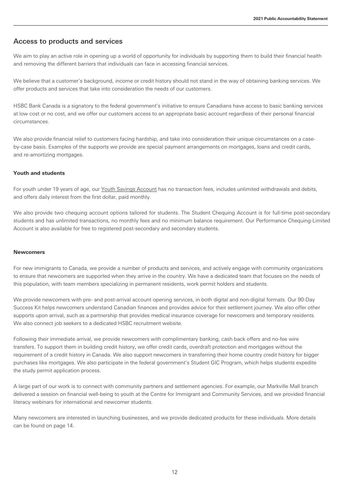#### Access to products and services

We aim to play an active role in opening up a world of opportunity for individuals by supporting them to build their financial health and removing the different barriers that individuals can face in accessing financial services.

We believe that a customer's background, income or credit history should not stand in the way of obtaining banking services. We offer products and services that take into consideration the needs of our customers.

HSBC Bank Canada is a signatory to the federal government's initiative to ensure Canadians have access to basic banking services at low cost or no cost, and we offer our customers access to an appropriate basic account regardless of their personal financial circumstances.

We also provide financial relief to customers facing hardship, and take into consideration their unique circumstances on a caseby-case basis. Examples of the supports we provide are special payment arrangements on mortgages, loans and credit cards, and re-amortizing mortgages.

#### **Youth and students**

For youth under 19 years of age, our [Youth Savings Account](https://www.hsbc.ca/savings-accounts/products/youth-savings/) has no transaction fees, includes unlimited withdrawals and debits, and offers daily interest from the first dollar, paid monthly.

We also provide two chequing account options tailored for students. The Student Chequing Account is for full-time post-secondary students and has unlimited transactions, no monthly fees and no minimum balance requirement. Our Performance Chequing-Limited Account is also available for free to registered post-secondary and secondary students.

#### **Newcomers**

For new immigrants to Canada, we provide a number of products and services, and actively engage with community organizations to ensure that newcomers are supported when they arrive in the country. We have a dedicated team that focuses on the needs of this population, with team members specializing in permanent residents, work permit holders and students.

We provide newcomers with pre- and post-arrival account opening services, in both digital and non-digital formats. Our 90-Day Success Kit helps newcomers understand Canadian finances and provides advice for their settlement journey. We also offer other supports upon arrival, such as a partnership that provides medical insurance coverage for newcomers and temporary residents. We also connect job seekers to a dedicated HSBC recruitment website.

Following their immediate arrival, we provide newcomers with complimentary banking, cash back offers and no-fee wire transfers. To support them in building credit history, we offer credit cards, overdraft protection and mortgages without the requirement of a credit history in Canada. We also support newcomers in transferring their home country credit history for bigger purchases like mortgages. We also participate in the federal government's Student GIC Program, which helps students expedite the study permit application process.

A large part of our work is to connect with community partners and settlement agencies. For example, our Markville Mall branch delivered a session on financial well-being to youth at the Centre for Immigrant and Community Services, and we provided financial literacy webinars for international and newcomer students.

Many newcomers are interested in launching businesses, and we provide dedicated products for these individuals. More details can be found on page 14.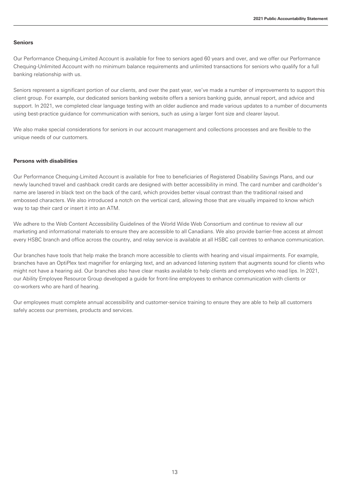#### **Seniors**

Our Performance Chequing-Limited Account is available for free to seniors aged 60 years and over, and we offer our Performance Chequing-Unlimited Account with no minimum balance requirements and unlimited transactions for seniors who qualify for a full banking relationship with us.

Seniors represent a significant portion of our clients, and over the past year, we've made a number of improvements to support this client group. For example, our dedicated seniors banking website offers a seniors banking guide, annual report, and advice and support. In 2021, we completed clear language testing with an older audience and made various updates to a number of documents using best-practice guidance for communication with seniors, such as using a larger font size and clearer layout.

We also make special considerations for seniors in our account management and collections processes and are flexible to the unique needs of our customers.

#### **Persons with disabilities**

Our Performance Chequing-Limited Account is available for free to beneficiaries of Registered Disability Savings Plans, and our newly launched travel and cashback credit cards are designed with better accessibility in mind. The card number and cardholder's name are lasered in black text on the back of the card, which provides better visual contrast than the traditional raised and embossed characters. We also introduced a notch on the vertical card, allowing those that are visually impaired to know which way to tap their card or insert it into an ATM.

We adhere to the Web Content Accessibility Guidelines of the World Wide Web Consortium and continue to review all our marketing and informational materials to ensure they are accessible to all Canadians. We also provide barrier-free access at almost every HSBC branch and office across the country, and relay service is available at all HSBC call centres to enhance communication.

Our branches have tools that help make the branch more accessible to clients with hearing and visual impairments. For example, branches have an OptiPlex text magnifier for enlarging text, and an advanced listening system that augments sound for clients who might not have a hearing aid. Our branches also have clear masks available to help clients and employees who read lips. In 2021, our Ability Employee Resource Group developed a guide for front-line employees to enhance communication with clients or co-workers who are hard of hearing.

Our employees must complete annual accessibility and customer-service training to ensure they are able to help all customers safely access our premises, products and services.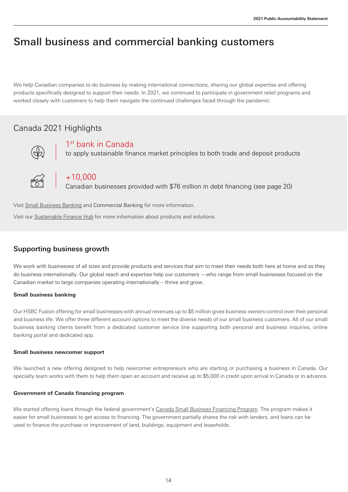## Small business and commercial banking customers

We help Canadian companies to do business by making international connections, sharing our global expertise and offering products specifically designed to support their needs. In 2021, we continued to participate in government relief programs and worked closely with customers to help them navigate the continued challenges faced through the pandemic.

## Canada 2021 Highlights



1<sup>st</sup> bank in Canada

to apply sustainable finance market principles to both trade and deposit products



+10,000

Canadian businesses provided with \$76 million in debt financing (see page 20)

Visit [Small Business Banking](https://www.hsbc.ca/small-business-banking-solutions/) and [Commercial Banking](https://www.business.hsbc.ca/) for more information.

Visit our [Sustainable Finance Hub](https://www.business.hsbc.ca/en-ca/campaigns/sustainable-finance) for more information about products and solutions.

### Supporting business growth

We work with businesses of all sizes and provide products and services that aim to meet their needs both here at home and as they do business internationally. Our global reach and expertise help our customers —who range from small businesses focused on the Canadian market to large companies operating internationally – thrive and grow.

#### **Small business banking**

Our HSBC Fusion offering for small businesses with annual revenues up to \$5 million gives business owners control over their personal and business life. We offer three different account options to meet the diverse needs of our small business customers. All of our small business banking clients benefit from a dedicated customer service line supporting both personal and business inquiries, online banking portal and dedicated app.

#### **Small business newcomer support**

We launched a new offering designed to help newcomer entrepreneurs who are starting or purchasing a business in Canada. Our specialty team works with them to help them open an account and receive up to \$5,000 in credit upon arrival in Canada or in advance.

#### **Government of Canada financing program**

We started offering loans through the federal government's Canada Small Business Financing Program. The program makes it easier for small businesses to get access to financing. The government partially shares the risk with lenders, and loans can be used to finance the purchase or improvement of land, buildings, equipment and leaseholds.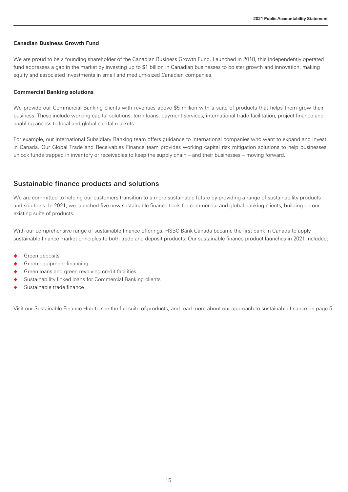#### **Canadian Business Growth Fund**

We are proud to be a founding shareholder of the Canadian Business Growth Fund. Launched in 2018, this independently operated fund addresses a gap in the market by investing up to \$1 billion in Canadian businesses to bolster growth and innovation, making equity and associated investments in small and medium-sized Canadian companies.

#### **Commercial Banking solutions**

We provide our Commercial Banking clients with revenues above \$5 million with a suite of products that helps them grow their business. These include working capital solutions, term loans, payment services, international trade facilitation, project finance and enabling access to local and global capital markets.

For example, our International Subsidiary Banking team offers guidance to international companies who want to expand and invest in Canada. Our Global Trade and Receivables Finance team provides working capital risk mitigation solutions to help businesses unlock funds trapped in inventory or receivables to keep the supply chain – and their businesses – moving forward.

#### Sustainable finance products and solutions

We are committed to helping our customers transition to a more sustainable future by providing a range of sustainability products and solutions. In 2021, we launched five new sustainable finance tools for commercial and global banking clients, building on our existing suite of products.

With our comprehensive range of sustainable finance offerings, HSBC Bank Canada became the first bank in Canada to apply sustainable finance market principles to both trade and deposit products. Our sustainable finance product launches in 2021 included:

- **Green deposits**
- Green equipment financing
- Green loans and green revolving credit facilities
- Sustainability linked loans for Commercial Banking clients
- Sustainable trade finance

Visit our [Sustainable Finance Hub](https://www.business.hsbc.ca/en-ca/campaigns/sustainable-finance) to see the full suite of products, and read more about our approach to sustainable finance on page 5.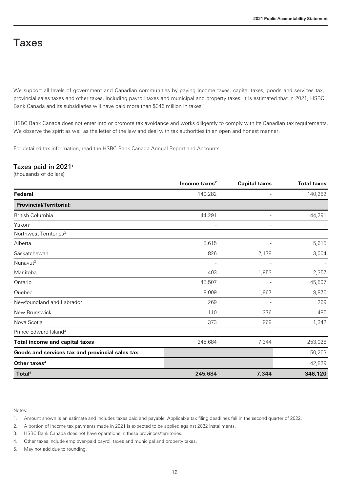## Taxes

We support all levels of government and Canadian communities by paying income taxes, capital taxes, goods and services tax, provincial sales taxes and other taxes, including payroll taxes and municipal and property taxes. It is estimated that in 2021, HSBC Bank Canada and its subsidiaries will have paid more than \$346 million in taxes.<sup>1</sup>

HSBC Bank Canada does not enter into or promote tax avoidance and works diligently to comply with its Canadian tax requirements. We observe the spirit as well as the letter of the law and deal with tax authorities in an open and honest manner.

For detailed tax information, read the HSBC Bank Canada Annual Report and Accounts.

#### Taxes paid in 2021<sup>1</sup>

(thousands of dollars)

|                                                 | Income taxes <sup>2</sup> | <b>Capital taxes</b> | <b>Total taxes</b> |
|-------------------------------------------------|---------------------------|----------------------|--------------------|
| <b>Federal</b>                                  | 140,282                   |                      | 140,282            |
| <b>Provincial/Territorial:</b>                  |                           |                      |                    |
| <b>British Columbia</b>                         | 44,291                    |                      | 44,291             |
| Yukon                                           |                           |                      |                    |
| Northwest Territories <sup>3</sup>              |                           |                      |                    |
| Alberta                                         | 5,615                     |                      | 5,615              |
| Saskatchewan                                    | 826                       | 2,178                | 3,004              |
| Nunavut <sup>3</sup>                            |                           |                      |                    |
| Manitoba                                        | 403                       | 1,953                | 2,357              |
| Ontario                                         | 45,507                    |                      | 45,507             |
| Quebec                                          | 8,009                     | 1,867                | 9,876              |
| Newfoundland and Labrador                       | 269                       |                      | 269                |
| New Brunswick                                   | 110                       | 376                  | 485                |
| Nova Scotia                                     | 373                       | 969                  | 1,342              |
| Prince Edward Island <sup>3</sup>               |                           |                      |                    |
| <b>Total income and capital taxes</b>           | 245,684                   | 7,344                | 253,028            |
| Goods and services tax and provincial sales tax |                           |                      | 50,263             |
| Other taxes <sup>4</sup>                        |                           |                      | 42,829             |
| Total <sup>5</sup>                              | 245,684                   | 7,344                | 346,120            |

Notes:

1. Amount shown is an estimate and includes taxes paid and payable. Applicable tax filing deadlines fall in the second quarter of 2022.

2. A portion of income tax payments made in 2021 is expected to be applied against 2022 installments.

3. HSBC Bank Canada does not have operations in these provinces/territories.

4. Other taxes include employer-paid payroll taxes and municipal and property taxes.

5. May not add due to rounding.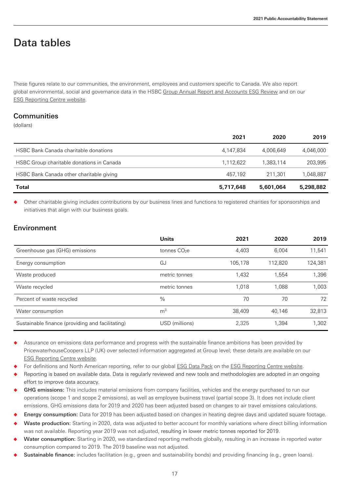## Data tables

These figures relate to our communities, the environment, employees and customers specific to Canada. We also report global environmental, social and governance data in the HSBC [Group Annual Report and Accounts ESG Review](https://www.hsbc.com/-/files/hsbc/investors/hsbc-results/2021/annual/pdfs/hsbc-holdings-plc/220222-annual-report-and-accounts-2021.pdf?download=1) and on our [ESG Reporting Centre](https://www.hsbc.com/who-we-are/esg-and-responsible-business/esg-reporting-centre?tab=Latest%20reports) website.

### **Communities**

(dollars)

|                                              | 2021      | 2020      | 2019      |
|----------------------------------------------|-----------|-----------|-----------|
| <b>HSBC Bank Canada charitable donations</b> | 4.147.834 | 4.006.649 | 4.046.000 |
| HSBC Group charitable donations in Canada    | 1.112.622 | 1.383.114 | 203,995   |
| HSBC Bank Canada other charitable giving     | 457.192   | 211.301   | 1.048.887 |
| Total                                        | 5,717,648 | 5,601,064 | 5,298,882 |

Other charitable giving includes contributions by our business lines and functions to registered charities for sponsorships and initiatives that align with our business goals.

### Environment

|                                                  | <b>Units</b>             | 2021    | 2020    | 2019    |
|--------------------------------------------------|--------------------------|---------|---------|---------|
| Greenhouse gas (GHG) emissions                   | tonnes CO <sub>2</sub> e | 4,403   | 6.004   | 11,541  |
| Energy consumption                               | GJ                       | 105.178 | 112.820 | 124,381 |
| Waste produced                                   | metric tonnes            | 1,432   | 1.554   | 1,396   |
| Waste recycled                                   | metric tonnes            | 1.018   | 1.088   | 1.003   |
| Percent of waste recycled                        | $\%$                     | 70      | 70      | 72      |
| Water consumption                                | m <sup>3</sup>           | 38.409  | 40.146  | 32,813  |
| Sustainable finance (providing and facilitating) | USD (millions)           | 2,325   | 1.394   | 1,302   |

Assurance on emissions data performance and progress with the sustainable finance ambitions has been provided by PricewaterhouseCoopers LLP (UK) over selected information aggregated at Group level; these details are available on our [ESG Reporting Centre](https://www.hsbc.com/who-we-are/esg-and-responsible-business/esg-reporting-centre?tab=Latest%20reports) website.

For definitions and North American reporting, refer to our globa[l ESG Data Pack](https://www.hsbc.com/-/files/hsbc/investors/hsbc-results/2021/annual/pdfs/hsbc-holdings-plc/220222-esg-datapack-2021-excel.xlsx?download=1) on th[e ESG Reporting Centre](https://www.hsbc.com/who-we-are/esg-and-responsible-business/esg-reporting-centre) website.

Reporting is based on available data. Data is regularly reviewed and new tools and methodologies are adopted in an ongoing effort to improve data accuracy.

- GHG emissions: This includes material emissions from company facilities, vehicles and the energy purchased to run our operations (scope 1 and scope 2 emissions), as well as employee business travel (partial scope 3). It does not include client emissions. GHG emissions data for 2019 and 2020 has been adjusted based on changes to air travel emissions calculations.
- Energy consumption: Data for 2019 has been adjusted based on changes in heating degree days and updated square footage.
- Waste production: Starting in 2020, data was adjusted to better account for monthly variations where direct billing information was not available. Reporting year 2019 was not adjusted, resulting in lower metric tonnes reported for 2019.
- Water consumption: Starting in 2020, we standardized reporting methods globally, resulting in an increase in reported water consumption compared to 2019. The 2019 baseline was not adjusted.
- Sustainable finance: includes facilitation (e.g., green and sustainability bonds) and providing financing (e.g., green loans).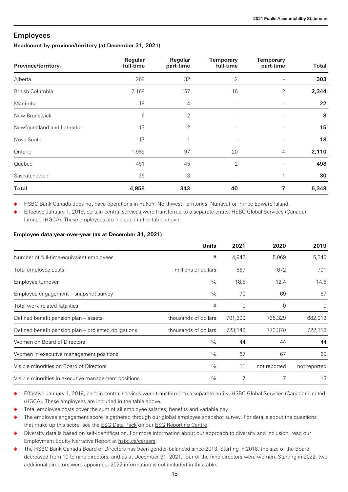#### Employees

#### **Headcount by province/territory (at December 31, 2021)**

| Province/territory1       | Regular<br>full-time | Regular<br>part-time | <b>Temporary</b><br>full-time | <b>Temporary</b><br>part-time | Total |
|---------------------------|----------------------|----------------------|-------------------------------|-------------------------------|-------|
| Alberta                   | 269                  | 32                   | $\overline{2}$                |                               | 303   |
| <b>British Columbia</b>   | 2,169                | 157                  | 16                            | 2                             | 2,344 |
| Manitoba                  | 18                   | 4                    | $\overline{\phantom{a}}$      |                               | 22    |
| New Brunswick             | 6                    | $\overline{2}$       | $\overline{\phantom{a}}$      |                               | 8     |
| Newfoundland and Labrador | 13                   | $\overline{2}$       | -                             |                               | 15    |
| Nova Scotia               | 17                   |                      | ٠                             |                               | 18    |
| Ontario                   | 1,989                | 97                   | 20                            | 4                             | 2,110 |
| Quebec                    | 451                  | 45                   | $\overline{2}$                |                               | 498   |
| Saskatchewan              | 26                   | 3                    |                               |                               | 30    |
| <b>Total</b>              | 4,958                | 343                  | 40                            | 7                             | 5,348 |

HSBC Bank Canada does not have operations in Yukon, Northwest Territories, Nunavut or Prince Edward Island.

Effective January 1, 2019, certain central services were transferred to a separate entity, HSBC Global Services (Canada) Limited (HGCA). These employees are included in the table above.

#### **Employee data year-over-year (as at December 31, 2021)**

|                                                      | <b>Units</b>         | 2021    | 2020         | 2019         |
|------------------------------------------------------|----------------------|---------|--------------|--------------|
| Number of full-time-equivalent employees             | #                    | 4,942   | 5,069        | 5,340        |
| Total employee costs                                 | millions of dollars  | 667     | 672          | 701          |
| Employee turnover                                    | $\frac{0}{0}$        | 18.8    | 12.4         | 14.6         |
| Employee engagement – snapshot survey                | $\frac{0}{0}$        | 70      | 69           | 67           |
| Total work-related fatalities                        | #                    | 0       | 0            | $\Omega$     |
| Defined benefit pension plan - assets                | thousands of dollars | 701,300 | 738,329      | 682,912      |
| Defined benefit pension plan – projected obligations | thousands of dollars | 723,148 | 773,370      | 722,116      |
| Women on Board of Directors                          | $\frac{0}{0}$        | 44      | 44           | 44           |
| Women in executive management positions              | $\frac{0}{0}$        | 67      | 67           | 69           |
| Visible minorities on Board of Directors             | $\frac{0}{0}$        | 11      | not reported | not reported |
| Visible minorities in executive management positions | $\frac{0}{0}$        |         | 7            | 13           |

- Effective January 1, 2019, certain central services were transferred to a separate entity, HSBC Global Services (Canada) Limited (HGCA). These employees are included in the table above.
- Total employee costs cover the sum of all employee salaries, benefits and variable pay.
- The employee engagement score is gathered through our global employee snapshot survey. For details about the questions that make up this score, see the **ESG Data Pack on our ESG Reporting Centre**.
- Diversity data is based on self-identification. For more information about our approach to diversity and inclusion, read our Employment Equity Narrative Report at [hsbc.ca/careers.](https://www.about.hsbc.ca/careers)
- The HSBC Bank Canada Board of Directors has been gender-balanced since 2013. Starting in 2018, the size of the Board decreased from 10 to nine directors, and as at December 31, 2021, four of the nine directors were women. Starting in 2022, two additional directors were appointed. 2022 information is not included in this table.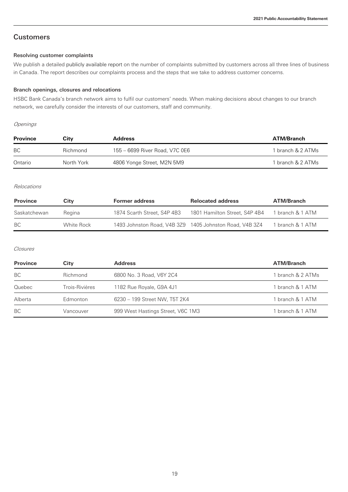### **Customers**

#### Resolving customer complaints

We publish a detailed [publicly available report](https://www.hsbc.ca/content/dam/hsbc/ca/docs/pdf/hsbc-canada-public-complaint-report-en.pdf) on the number of complaints submitted by customers across all three lines of business in Canada. The report describes our complaints process and the steps that we take to address customer concerns.

#### Branch openings, closures and relocations

HSBC Bank Canada's branch network aims to fulfil our customers' needs. When making decisions about changes to our branch network, we carefully consider the interests of our customers, staff and community.

#### **Openings**

| <b>Province</b> | Citv       | Address                        | ATM/Branch        |
|-----------------|------------|--------------------------------|-------------------|
| BC.             | Richmond   | 155 - 6699 River Road, V7C 0E6 | 1 branch & 2 ATMs |
| Ontario         | North York | 4806 Yonge Street, M2N 5M9     | 1 branch & 2 ATMs |

#### **Relocations**

| <b>Province</b> | City       | <b>Former address</b>       | <b>Relocated address</b>                                | <b>ATM/Branch</b> |
|-----------------|------------|-----------------------------|---------------------------------------------------------|-------------------|
| Saskatchewan    | Regina     | 1874 Scarth Street, S4P 4B3 | 1801 Hamilton Street, S4P 4B4                           | 1 branch & 1 ATM  |
| BC.             | White Rock |                             | 1493 Johnston Road, V4B 3Z9 1405 Johnston Road, V4B 3Z4 | 1 branch & 1 ATM  |

#### Closures

| <b>Province</b> | City           | <b>Address</b>                    | <b>ATM/Branch</b> |
|-----------------|----------------|-----------------------------------|-------------------|
| BC              | Richmond       | 6800 No. 3 Road, V6Y 2C4          | 1 branch & 2 ATMs |
| Quebec          | Trois-Rivières | 1182 Rue Royale, G9A 4J1          | 1 branch & 1 ATM  |
| Alberta         | Edmonton       | 6230 - 199 Street NW, T5T 2K4     | 1 branch & 1 ATM  |
| BC              | Vancouver      | 999 West Hastings Street, V6C 1M3 | 1 branch & 1 ATM  |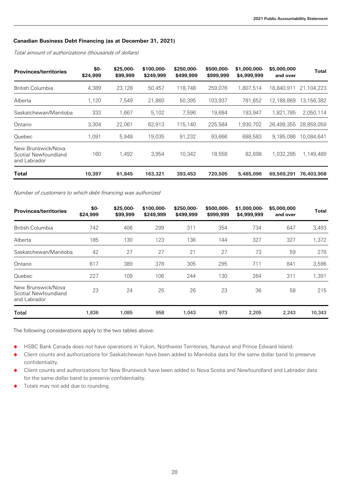#### **Canadian Business Debt Financing (as at December 31, 2021)**

Total amount of authorizations (thousands of dollars)

| <b>Provinces/territories</b>                               | \$0-<br>\$24,999 | \$25,000-<br>\$99,999 | \$100,000-<br>\$249,999 | \$250,000-<br>\$499,999 | \$500,000-<br>\$999,999 | \$1,000,000-<br>\$4,999,999 | \$5,000,000<br>and over | Total      |
|------------------------------------------------------------|------------------|-----------------------|-------------------------|-------------------------|-------------------------|-----------------------------|-------------------------|------------|
| British Columbia                                           | 4,389            | 23.128                | 50.457                  | 118,748                 | 259,076                 | 1,807,514                   | 18.840.911              | 21,104,223 |
| Alberta                                                    | 1,120            | 7.549                 | 21.860                  | 50.395                  | 103.937                 | 781.652                     | 12.189.869              | 13,156,382 |
| Saskatchewan/Manitoba                                      | 333              | 1.667                 | 5,102                   | 7,596                   | 19,684                  | 193.947                     | 1,821,785               | 2,050,114  |
| Ontario                                                    | 3,304            | 22.061                | 62.913                  | 115.140                 | 225,584                 | 1,930,702                   | 26.499.355              | 28,859,059 |
| Quebec                                                     | 1.091            | 5.948                 | 19,035                  | 91.232                  | 93.666                  | 688.583                     | 9.185.086               | 10.084.641 |
| New Brunswick/Nova<br>Scotia/ Newfoundland<br>and Labrador | 160              | 1.492                 | 3.954                   | 10,342                  | 18,558                  | 82.698                      | 1,032,285               | 1,149,489  |
| Total                                                      | 10,397           | 61,845                | 163,321                 | 393,453                 | 720,505                 | 5,485,096                   | 69,569,291              | 76,403,908 |

Number of customers to which debt financing was authorized

| <b>Provinces/territories</b>                               | \$0-<br>\$24,999 | $$25,000-$<br>\$99,999 | \$100,000-<br>\$249,999 | \$250,000-<br>\$499,999 | \$500,000-<br>\$999,999 | \$1,000,000-<br>\$4,999,999 | \$5,000,000<br>and over | <b>Total</b> |
|------------------------------------------------------------|------------------|------------------------|-------------------------|-------------------------|-------------------------|-----------------------------|-------------------------|--------------|
| British Columbia                                           | 742              | 406                    | 299                     | 311                     | 354                     | 734                         | 647                     | 3,493        |
| Alberta                                                    | 185              | 130                    | 123                     | 136                     | 144                     | 327                         | 327                     | 1,372        |
| Saskatchewan/Manitoba                                      | 42               | 27                     | 27                      | 21                      | 27                      | 73                          | 59                      | 276          |
| Ontario                                                    | 617              | 389                    | 378                     | 305                     | 295                     | 711                         | 841                     | 3,596        |
| Quebec                                                     | 227              | 109                    | 106                     | 244                     | 130                     | 264                         | 311                     | 1,391        |
| New Brunswick/Nova<br>Scotia/ Newfoundland<br>and Labrador | 23               | 24                     | 25                      | 26                      | 23                      | 36                          | 58                      | 215          |
| <b>Total</b>                                               | 1,836            | 1,085                  | 958                     | 1,043                   | 973                     | 2,205                       | 2,243                   | 10,343       |

The following considerations apply to the two tables above:

HSBC Bank Canada does not have operations in Yukon, Northwest Territories, Nunavut and Prince Edward Island.

◆ Client counts and authorizations for Saskatchewan have been added to Manitoba data for the same dollar band to preserve confidentiality.

◆ Client counts and authorizations for New Brunswick have been added to Nova Scotia and Newfoundland and Labrador data for the same dollar band to preserve confidentiality.

◆ Totals may not add due to rounding.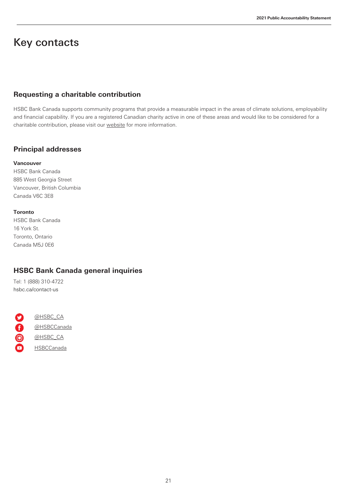## Key contacts

### **Requesting a charitable contribution**

HSBC Bank Canada supports community programs that provide a measurable impact in the areas of climate solutions, employability and financial capability. If you are a registered Canadian charity active in one of these areas and would like to be considered for a charitable contribution, please visit our [website](https://www.about.hsbc.ca/hsbc-in-canada/community) for more information.

## **Principal addresses**

#### **Vancouver**

HSBC Bank Canada 885 West Georgia Street Vancouver, British Columbia Canada V6C 3E8

#### **Toronto**

HSBC Bank Canada 16 York St. Toronto, Ontario Canada M5J 0E6

## **HSBC Bank Canada general inquiries**

Tel: 1 (888) 310-4722 [hsbc.ca/contact-us](https://www.hsbc.ca/contact-us/)

0000 [@HSBC\\_CA](https://twitter.com/HSBC_CA) [@HSBCCanada](https://www.facebook.com/HSBCCanada/) [@HSBC\\_CA](https://www.instagram.com/hsbc_ca/?hl=en) **[HSBCCanada](https://www.youtube.com/user/HSBCCanada)**